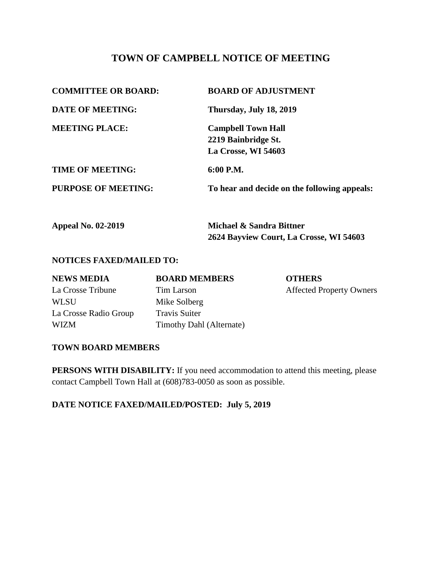# **TOWN OF CAMPBELL NOTICE OF MEETING**

| <b>COMMITTEE OR BOARD:</b> | <b>BOARD OF ADJUSTMENT</b>                   |
|----------------------------|----------------------------------------------|
| <b>DATE OF MEETING:</b>    | Thursday, July 18, 2019                      |
| <b>MEETING PLACE:</b>      | <b>Campbell Town Hall</b>                    |
|                            | 2219 Bainbridge St.                          |
|                            | La Crosse, WI 54603                          |
| <b>TIME OF MEETING:</b>    | 6:00 P.M.                                    |
| <b>PURPOSE OF MEETING:</b> | To hear and decide on the following appeals: |
|                            |                                              |

| <b>Appeal No. 02-2019</b> | Michael & Sandra Bittner                |  |
|---------------------------|-----------------------------------------|--|
|                           | 2624 Bayview Court, La Crosse, WI 54603 |  |

### **NOTICES FAXED/MAILED TO:**

| <b>NEWS MEDIA</b>     | <b>BOARD MEMBERS</b>     | <b>OTHERS</b>                   |
|-----------------------|--------------------------|---------------------------------|
| La Crosse Tribune     | Tim Larson               | <b>Affected Property Owners</b> |
| WLSU                  | Mike Solberg             |                                 |
| La Crosse Radio Group | <b>Travis Suiter</b>     |                                 |
| WIZM                  | Timothy Dahl (Alternate) |                                 |

#### **TOWN BOARD MEMBERS**

**PERSONS WITH DISABILITY:** If you need accommodation to attend this meeting, please contact Campbell Town Hall at (608)783-0050 as soon as possible.

**DATE NOTICE FAXED/MAILED/POSTED: July 5, 2019**